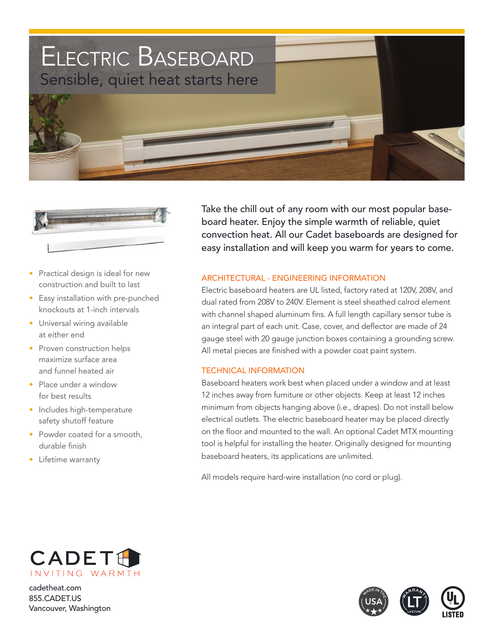



- Practical design is ideal for new construction and built to last
- Easy installation with pre-punched knockouts at 1-inch intervals
- Universal wiring available at either end
- Proven construction helps maximize surface area and funnel heated air
- Place under a window for best results
- Includes high-temperature safety shutoff feature
- Powder coated for a smooth, durable finish
- Lifetime warranty

Take the chill out of any room with our most popular baseboard heater. Enjoy the simple warmth of reliable, quiet convection heat. All our Cadet baseboards are designed for easy installation and will keep you warm for years to come.

### architectural - engineering information

Electric baseboard heaters are UL listed, factory rated at 120V, 208V, and dual rated from 208V to 240V. Element is steel sheathed calrod element with channel shaped aluminum fins. A full length capillary sensor tube is an integral part of each unit. Case, cover, and deflector are made of 24 gauge steel with 20 gauge junction boxes containing a grounding screw. All metal pieces are finished with a powder coat paint system.

#### **TECHNICAL INFORMATION**

Baseboard heaters work best when placed under a window and at least 12 inches away from furniture or other objects. Keep at least 12 inches minimum from objects hanging above (i.e., drapes). Do not install below electrical outlets. The electric baseboard heater may be placed directly on the floor and mounted to the wall. An optional Cadet MTX mounting tool is helpful for installing the heater. Originally designed for mounting baseboard heaters, its applications are unlimited.

All models require hard-wire installation (no cord or plug).



cadetheat.com 855.CADET.US Vancouver, Washington